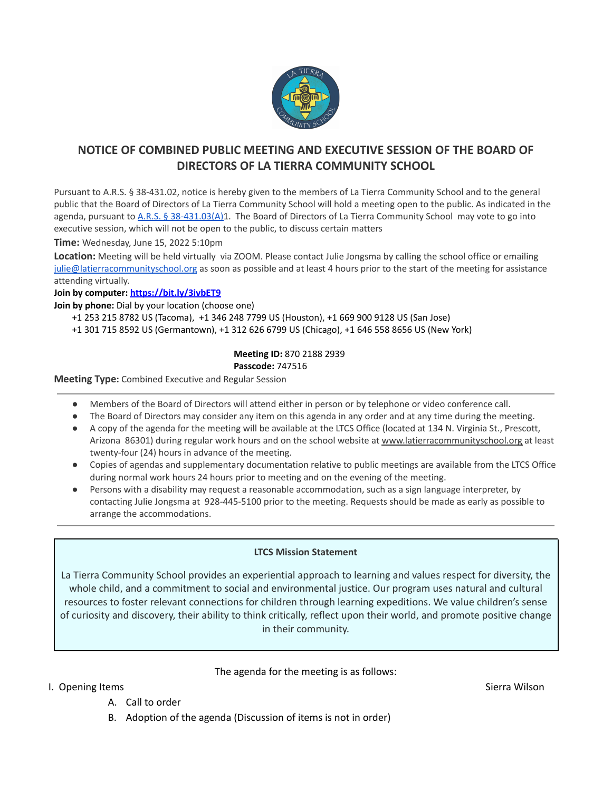

# **NOTICE OF COMBINED PUBLIC MEETING AND EXECUTIVE SESSION OF THE BOARD OF DIRECTORS OF LA TIERRA COMMUNITY SCHOOL**

Pursuant to A.R.S. § 38-431.02, notice is hereby given to the members of La Tierra Community School and to the general public that the Board of Directors of La Tierra Community School will hold a meeting open to the public. As indicated in the agenda, pursuant to A.R.S. § [38-431.03\(A\)1](https://www.azleg.gov/ars/38/00431-03.htm). The Board of Directors of La Tierra Community School may vote to go into executive session, which will not be open to the public, to discuss certain matters

**Time:** Wednesday, June 15, 2022 5:10pm

**Location:** Meeting will be held virtually via ZOOM. Please contact Julie Jongsma by calling the school office or emailing [julie@latierracommunityschool.org](mailto:julie@latierracommunityschool.org) as soon as possible and at least 4 hours prior to the start of the meeting for assistance attending virtually.

#### **Join by computer: <https://bit.ly/3ivbET9>**

**Join by phone:** Dial by your location (choose one)

- +1 253 215 8782 US (Tacoma), +1 346 248 7799 US (Houston), +1 669 900 9128 US (San Jose)
- +1 301 715 8592 US (Germantown), +1 312 626 6799 US (Chicago), +1 646 558 8656 US (New York)

#### **Meeting ID:** 870 2188 2939 **Passcode:** 747516

**Meeting Type:** Combined Executive and Regular Session

- Members of the Board of Directors will attend either in person or by telephone or video conference call.
- The Board of Directors may consider any item on this agenda in any order and at any time during the meeting.
- A copy of the agenda for the meeting will be available at the LTCS Office (located at 134 N. Virginia St., Prescott, Arizona 86301) during regular work hours and on the school website at [www.latierracommunityschool.org](http://www.latierracommunityschool.org) at least twenty-four (24) hours in advance of the meeting.
- Copies of agendas and supplementary documentation relative to public meetings are available from the LTCS Office during normal work hours 24 hours prior to meeting and on the evening of the meeting.
- Persons with a disability may request a reasonable accommodation, such as a sign language interpreter, by contacting Julie Jongsma at 928-445-5100 prior to the meeting. Requests should be made as early as possible to arrange the accommodations.

#### **LTCS Mission Statement**

La Tierra Community School provides an experiential approach to learning and values respect for diversity, the whole child, and a commitment to social and environmental justice. Our program uses natural and cultural resources to foster relevant connections for children through learning expeditions. We value children's sense of curiosity and discovery, their ability to think critically, reflect upon their world, and promote positive change in their community.

#### The agenda for the meeting is as follows:

- I. Opening Items Sierra Wilson Sierra Wilson Sierra Wilson Sierra Wilson Sierra Wilson Sierra Wilson Sierra Wilson
	- A. Call to order
	- B. Adoption of the agenda (Discussion of items is not in order)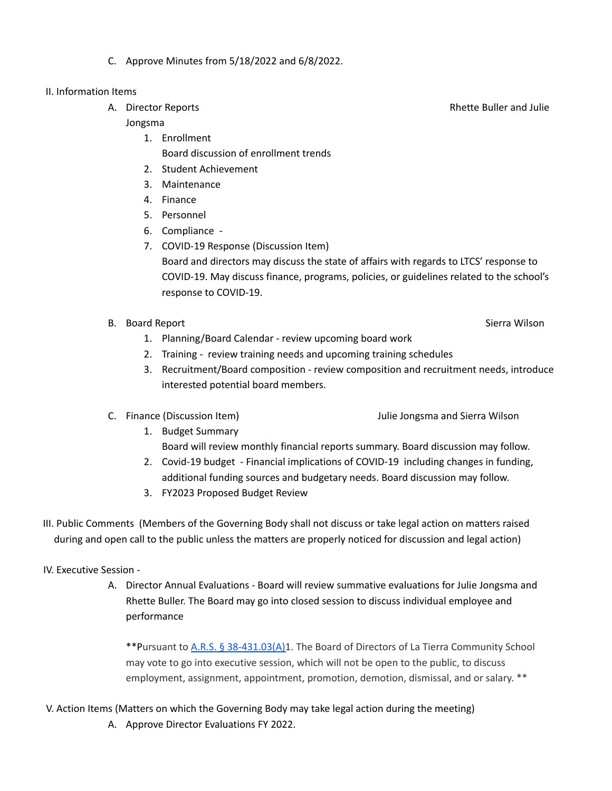C. Approve Minutes from 5/18/2022 and 6/8/2022.

### II. Information Items

A. Director Reports **Rhette Buller and Julie** 

### Jongsma

- 1. Enrollment Board discussion of enrollment trends
- 2. Student Achievement
- 3. Maintenance
- 4. Finance
- 5. Personnel
- 6. Compliance -
- 7. COVID-19 Response (Discussion Item) Board and directors may discuss the state of affairs with regards to LTCS' response to COVID-19. May discuss finance, programs, policies, or guidelines related to the school's response to COVID-19.
- B. Board Report Sierra Wilson Sierra Wilson Sierra Wilson Sierra Wilson Sierra Wilson
	- 1. Planning/Board Calendar review upcoming board work
	- 2. Training review training needs and upcoming training schedules
	- 3. Recruitment/Board composition review composition and recruitment needs, introduce interested potential board members.
- 
- C. Finance (Discussion Item) Julie Jongsma and Sierra Wilson
	- 1. Budget Summary
		- Board will review monthly financial reports summary. Board discussion may follow.
	- 2. Covid-19 budget Financial implications of COVID-19 including changes in funding, additional funding sources and budgetary needs. Board discussion may follow.
	- 3. FY2023 Proposed Budget Review
- III. Public Comments (Members of the Governing Body shall not discuss or take legal action on matters raised during and open call to the public unless the matters are properly noticed for discussion and legal action)

## IV. Executive Session -

A. Director Annual Evaluations - Board will review summative evaluations for Julie Jongsma and Rhette Buller. The Board may go into closed session to discuss individual employee and performance

\*\*Pursuant to A.R.S. § [38-431.03\(A\)1](https://www.azleg.gov/ars/38/00431-03.htm). The Board of Directors of La Tierra Community School may vote to go into executive session, which will not be open to the public, to discuss employment, assignment, appointment, promotion, demotion, dismissal, and or salary. \*\*

- V. Action Items (Matters on which the Governing Body may take legal action during the meeting)
	- A. Approve Director Evaluations FY 2022.